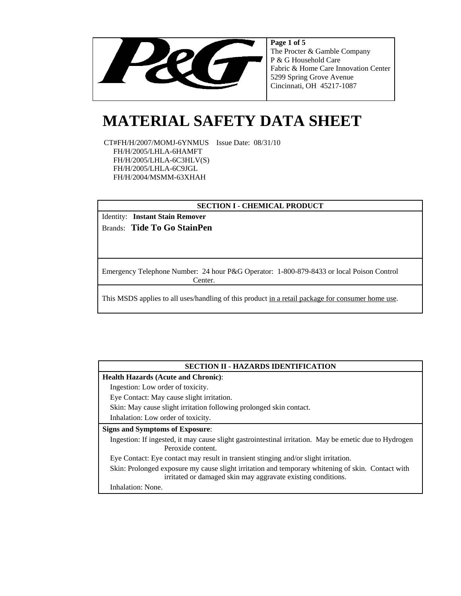

**Page 1 of 5** The Procter & Gamble Company P & G Household Care Fabric & Home Care Innovation Center 5299 Spring Grove Avenue Cincinnati, OH 45217-1087

# **MATERIAL SAFETY DATA SHEET**

 CT#FH/H/2007/MOMJ-6YNMUS Issue Date: 08/31/10 FH/H/2005/LHLA-6HAMFT FH/H/2005/LHLA-6C3HLV(S) FH/H/2005/LHLA-6C9JGL FH/H/2004/MSMM-63XHAH

# **SECTION I - CHEMICAL PRODUCT**

Identity: **Instant Stain Remover** Brands: **Tide To Go StainPen**

Emergency Telephone Number: 24 hour P&G Operator: 1-800-879-8433 or local Poison Control Center.

This MSDS applies to all uses/handling of this product in a retail package for consumer home use.

#### **SECTION II - HAZARDS IDENTIFICATION**

#### **Health Hazards (Acute and Chronic)**:

Ingestion: Low order of toxicity.

Eye Contact: May cause slight irritation.

Skin: May cause slight irritation following prolonged skin contact.

Inhalation: Low order of toxicity.

#### **Signs and Symptoms of Exposure**:

Ingestion: If ingested, it may cause slight gastrointestinal irritation. May be emetic due to Hydrogen Peroxide content.

Eye Contact: Eye contact may result in transient stinging and/or slight irritation.

Skin: Prolonged exposure my cause slight irritation and temporary whitening of skin. Contact with irritated or damaged skin may aggravate existing conditions.

Inhalation: None.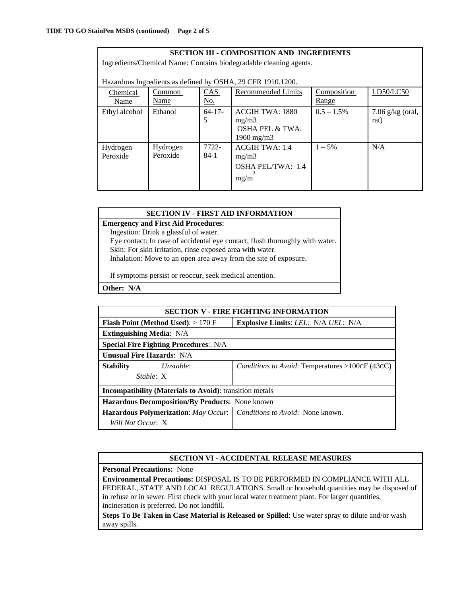| <b>SECTION III - COMPOSITION AND INGREDIENTS</b><br>Ingredients/Chemical Name: Contains biodegradable cleaning agents.                                                           |                      |                 |                                                                                      |               |                            |  |  |
|----------------------------------------------------------------------------------------------------------------------------------------------------------------------------------|----------------------|-----------------|--------------------------------------------------------------------------------------|---------------|----------------------------|--|--|
| Hazardous Ingredients as defined by OSHA, 29 CFR 1910.1200.<br>LD50/LC50<br>CAS<br><b>Recommended Limits</b><br>Composition<br>Common<br>Chemical<br>Name<br><u>No.</u><br>Range |                      |                 |                                                                                      |               |                            |  |  |
| Name<br>Ethyl alcohol                                                                                                                                                            | Ethanol              | $64 - 17$<br>5  | <b>ACGIH TWA: 1880</b><br>mg/m3<br><b>OSHA PEL &amp; TWA:</b><br>$1900 \text{ mg/m}$ | $0.5 - 1.5\%$ | $7.06$ g/kg (oral,<br>rat) |  |  |
| Hydrogen<br>Peroxide                                                                                                                                                             | Hydrogen<br>Peroxide | 7722-<br>$84-1$ | <b>ACGIH TWA: 1.4</b><br>mg/m3<br><b>OSHA PEL/TWA: 1.4</b><br>mg/m                   | $1 - 5\%$     | N/A                        |  |  |

# **SECTION IV - FIRST AID INFORMATION**

**Emergency and First Aid Procedures**:

Ingestion: Drink a glassful of water.

Eye contact: In case of accidental eye contact, flush thoroughly with water. Skin: For skin irritation, rinse exposed area with water.

Inhalation: Move to an open area away from the site of exposure.

If symptoms persist or reoccur, seek medical attention.

**Other: N/A**

| <b>SECTION V - FIRE FIGHTING INFORMATION</b>                   |                                            |                                                 |  |  |  |
|----------------------------------------------------------------|--------------------------------------------|-------------------------------------------------|--|--|--|
|                                                                | <b>Flash Point (Method Used):</b> $>170$ F | <b>Explosive Limits: LEL: N/A UEL: N/A</b>      |  |  |  |
| <b>Extinguishing Media: N/A</b>                                |                                            |                                                 |  |  |  |
| <b>Special Fire Fighting Procedures:. N/A</b>                  |                                            |                                                 |  |  |  |
| <b>Unusual Fire Hazards: N/A</b>                               |                                            |                                                 |  |  |  |
| <b>Stability</b>                                               | Unstable:                                  | Conditions to Avoid: Temperatures >100CF (43CC) |  |  |  |
| Stable: X                                                      |                                            |                                                 |  |  |  |
| <b>Incompatibility (Materials to Avoid):</b> transition metals |                                            |                                                 |  |  |  |
| Hazardous Decomposition/By Products: None known                |                                            |                                                 |  |  |  |
|                                                                | Hazardous Polymerization: May Occur.       | <i>Conditions to Avoid:</i> None known.         |  |  |  |
| Will Not Occur: X                                              |                                            |                                                 |  |  |  |

# **SECTION VI - ACCIDENTAL RELEASE MEASURES**

**Personal Precautions:** None

**Environmental Precautions:** DISPOSAL IS TO BE PERFORMED IN COMPLIANCE WITH ALL FEDERAL, STATE AND LOCAL REGULATIONS. Small or household quantities may be disposed of in refuse or in sewer. First check with your local water treatment plant. For larger quantities, incineration is preferred. Do not landfill.

**Steps To Be Taken in Case Material is Released or Spilled**: Use water spray to dilute and/or wash away spills.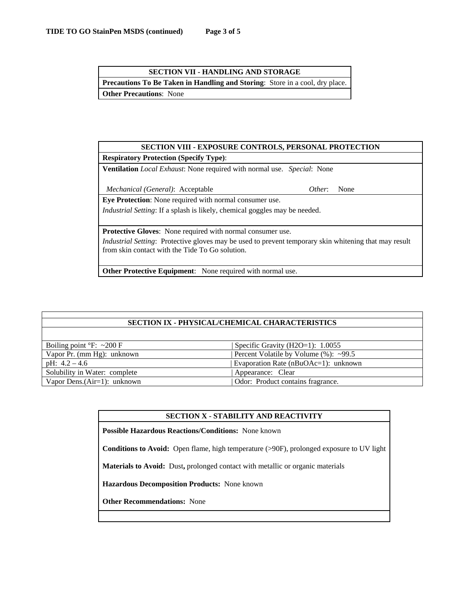| <b>SECTION VII - HANDLING AND STORAGE</b>                                           |  |  |  |  |  |
|-------------------------------------------------------------------------------------|--|--|--|--|--|
| <b>Precautions To Be Taken in Handling and Storing:</b> Store in a cool, dry place. |  |  |  |  |  |
| <b>Other Precautions:</b> None                                                      |  |  |  |  |  |

# **SECTION VIII - EXPOSURE CONTROLS, PERSONAL PROTECTION**

## **Respiratory Protection (Specify Type)**:

**Ventilation** *Local Exhaust*: None required with normal use. *Special*: None

*Mechanical (General)*: Acceptable *Other*: None

**Eye Protection**: None required with normal consumer use.

*Industrial Setting*: If a splash is likely, chemical goggles may be needed.

**Protective Gloves**: None required with normal consumer use.

*Industrial Setting*: Protective gloves may be used to prevent temporary skin whitening that may result from skin contact with the Tide To Go solution.

**Other Protective Equipment**: None required with normal use.

# **SECTION IX - PHYSICAL/CHEMICAL CHARACTERISTICS**

| Boiling point $\degree$ F: ~200 F | Specific Gravity (H2O=1): $1.0055$        |
|-----------------------------------|-------------------------------------------|
| Vapor Pr. (mm Hg): unknown        | Percent Volatile by Volume $(\%)$ : ~99.5 |
| pH: $4.2 - 4.6$                   | Evaporation Rate (nBuOAc=1): unknown      |
| Solubility in Water: complete     | Appearance: Clear                         |
| Vapor Dens. $(Air=1)$ : unknown   | Odor: Product contains fragrance.         |

#### **SECTION X - STABILITY AND REACTIVITY**

**Possible Hazardous Reactions/Conditions:** None known

**Conditions to Avoid:** Open flame, high temperature (>90F), prolonged exposure to UV light

**Materials to Avoid:** Dust**,** prolonged contact with metallic or organic materials

**Hazardous Decomposition Products:** None known

**Other Recommendations:** None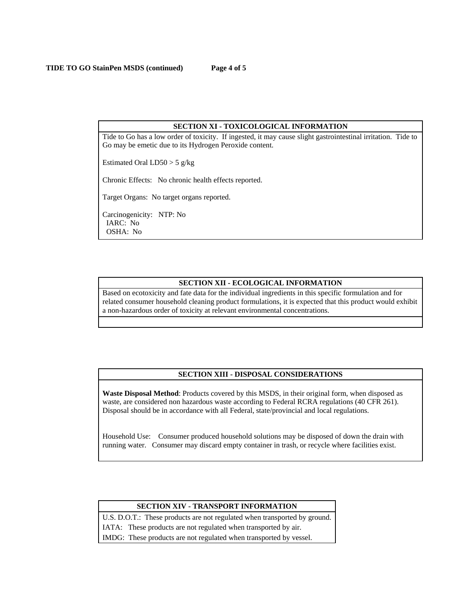#### **SECTION XI - TOXICOLOGICAL INFORMATION**

Tide to Go has a low order of toxicity. If ingested, it may cause slight gastrointestinal irritation. Tide to Go may be emetic due to its Hydrogen Peroxide content.

Estimated Oral  $LD50 > 5$  g/kg

Chronic Effects: No chronic health effects reported.

Target Organs: No target organs reported.

Carcinogenicity: NTP: No IARC: No OSHA: No

# **SECTION XII - ECOLOGICAL INFORMATION**

Based on ecotoxicity and fate data for the individual ingredients in this specific formulation and for related consumer household cleaning product formulations, it is expected that this product would exhibit a non-hazardous order of toxicity at relevant environmental concentrations.

#### **SECTION XIII - DISPOSAL CONSIDERATIONS**

**Waste Disposal Method**: Products covered by this MSDS, in their original form, when disposed as waste, are considered non hazardous waste according to Federal RCRA regulations (40 CFR 261). Disposal should be in accordance with all Federal, state/provincial and local regulations.

Household Use: Consumer produced household solutions may be disposed of down the drain with running water. Consumer may discard empty container in trash, or recycle where facilities exist.

#### **SECTION XIV - TRANSPORT INFORMATION**

U.S. D.O.T.: These products are not regulated when transported by ground. IATA: These products are not regulated when transported by air.

IMDG: These products are not regulated when transported by vessel.